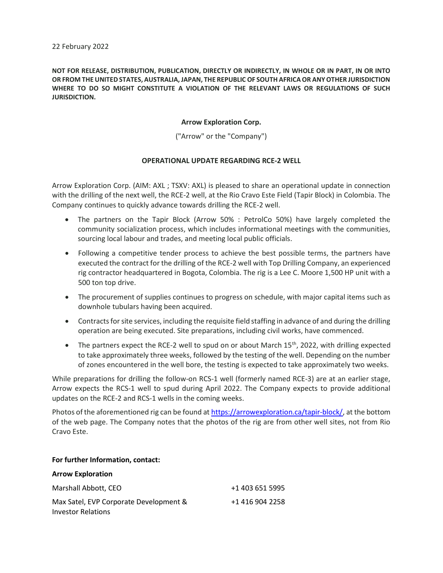NOT FOR RELEASE, DISTRIBUTION, PUBLICATION, DIRECTLY OR INDIRECTLY, IN WHOLE OR IN PART, IN OR INTO OR FROM THE UNITED STATES, AUSTRALIA, JAPAN, THE REPUBLIC OF SOUTH AFRICA OR ANY OTHER JURISDICTION WHERE TO DO SO MIGHT CONSTITUTE A VIOLATION OF THE RELEVANT LAWS OR REGULATIONS OF SUCH JURISDICTION.

## Arrow Exploration Corp.

("Arrow" or the "Company")

## OPERATIONAL UPDATE REGARDING RCE-2 WELL

Arrow Exploration Corp. (AIM: AXL ; TSXV: AXL) is pleased to share an operational update in connection with the drilling of the next well, the RCE-2 well, at the Rio Cravo Este Field (Tapir Block) in Colombia. The Company continues to quickly advance towards drilling the RCE-2 well.

- The partners on the Tapir Block (Arrow 50% : PetrolCo 50%) have largely completed the community socialization process, which includes informational meetings with the communities, sourcing local labour and trades, and meeting local public officials.
- Following a competitive tender process to achieve the best possible terms, the partners have executed the contract for the drilling of the RCE-2 well with Top Drilling Company, an experienced rig contractor headquartered in Bogota, Colombia. The rig is a Lee C. Moore 1,500 HP unit with a 500 ton top drive.
- The procurement of supplies continues to progress on schedule, with major capital items such as downhole tubulars having been acquired.
- Contracts for site services, including the requisite field staffing in advance of and during the drilling operation are being executed. Site preparations, including civil works, have commenced.
- The partners expect the RCE-2 well to spud on or about March  $15<sup>th</sup>$ , 2022, with drilling expected to take approximately three weeks, followed by the testing of the well. Depending on the number of zones encountered in the well bore, the testing is expected to take approximately two weeks.

While preparations for drilling the follow-on RCS-1 well (formerly named RCE-3) are at an earlier stage, Arrow expects the RCS-1 well to spud during April 2022. The Company expects to provide additional updates on the RCE-2 and RCS-1 wells in the coming weeks.

Photos of the aforementioned rig can be found at https://arrowexploration.ca/tapir-block/, at the bottom of the web page. The Company notes that the photos of the rig are from other well sites, not from Rio Cravo Este.

### For further Information, contact:

Arrow Exploration

| +1 403 651 5995 |
|-----------------|
| +1 416 904 2258 |
|                 |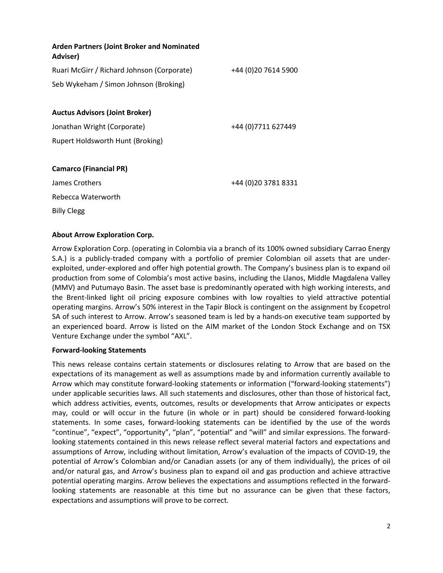| <b>Arden Partners (Joint Broker and Nominated</b><br>Adviser) |                      |
|---------------------------------------------------------------|----------------------|
| Ruari McGirr / Richard Johnson (Corporate)                    | +44 (0)20 7614 5900  |
| Seb Wykeham / Simon Johnson (Broking)                         |                      |
|                                                               |                      |
| <b>Auctus Advisors (Joint Broker)</b>                         |                      |
| Jonathan Wright (Corporate)                                   | +44 (0) 7711 627449  |
| Rupert Holdsworth Hunt (Broking)                              |                      |
|                                                               |                      |
| <b>Camarco (Financial PR)</b>                                 |                      |
| James Crothers                                                | +44 (0) 20 3781 8331 |
| Rebecca Waterworth                                            |                      |
| <b>Billy Clegg</b>                                            |                      |

# About Arrow Exploration Corp.

Arrow Exploration Corp. (operating in Colombia via a branch of its 100% owned subsidiary Carrao Energy S.A.) is a publicly-traded company with a portfolio of premier Colombian oil assets that are underexploited, under-explored and offer high potential growth. The Company's business plan is to expand oil production from some of Colombia's most active basins, including the Llanos, Middle Magdalena Valley (MMV) and Putumayo Basin. The asset base is predominantly operated with high working interests, and the Brent-linked light oil pricing exposure combines with low royalties to yield attractive potential operating margins. Arrow's 50% interest in the Tapir Block is contingent on the assignment by Ecopetrol SA of such interest to Arrow. Arrow's seasoned team is led by a hands-on executive team supported by an experienced board. Arrow is listed on the AIM market of the London Stock Exchange and on TSX Venture Exchange under the symbol "AXL".

# Forward-looking Statements

This news release contains certain statements or disclosures relating to Arrow that are based on the expectations of its management as well as assumptions made by and information currently available to Arrow which may constitute forward-looking statements or information ("forward-looking statements") under applicable securities laws. All such statements and disclosures, other than those of historical fact, which address activities, events, outcomes, results or developments that Arrow anticipates or expects may, could or will occur in the future (in whole or in part) should be considered forward-looking statements. In some cases, forward-looking statements can be identified by the use of the words "continue", "expect", "opportunity", "plan", "potential" and "will" and similar expressions. The forwardlooking statements contained in this news release reflect several material factors and expectations and assumptions of Arrow, including without limitation, Arrow's evaluation of the impacts of COVID-19, the potential of Arrow's Colombian and/or Canadian assets (or any of them individually), the prices of oil and/or natural gas, and Arrow's business plan to expand oil and gas production and achieve attractive potential operating margins. Arrow believes the expectations and assumptions reflected in the forwardlooking statements are reasonable at this time but no assurance can be given that these factors, expectations and assumptions will prove to be correct.